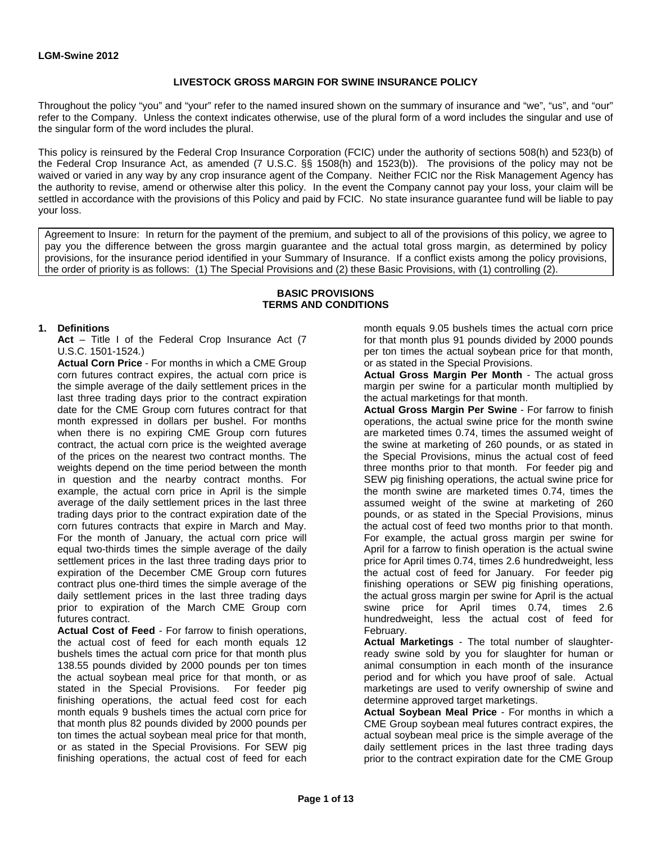### **LIVESTOCK GROSS MARGIN FOR SWINE INSURANCE POLICY**

Throughout the policy "you" and "your" refer to the named insured shown on the summary of insurance and "we", "us", and "our" refer to the Company. Unless the context indicates otherwise, use of the plural form of a word includes the singular and use of the singular form of the word includes the plural.

This policy is reinsured by the Federal Crop Insurance Corporation (FCIC) under the authority of sections 508(h) and 523(b) of the Federal Crop Insurance Act, as amended (7 U.S.C. §§ 1508(h) and 1523(b)). The provisions of the policy may not be waived or varied in any way by any crop insurance agent of the Company. Neither FCIC nor the Risk Management Agency has the authority to revise, amend or otherwise alter this policy. In the event the Company cannot pay your loss, your claim will be settled in accordance with the provisions of this Policy and paid by FCIC. No state insurance guarantee fund will be liable to pay your loss.

Agreement to Insure: In return for the payment of the premium, and subject to all of the provisions of this policy, we agree to pay you the difference between the gross margin guarantee and the actual total gross margin, as determined by policy provisions, for the insurance period identified in your Summary of Insurance. If a conflict exists among the policy provisions, the order of priority is as follows: (1) The Special Provisions and (2) these Basic Provisions, with (1) controlling (2).

#### **BASIC PROVISIONS TERMS AND CONDITIONS**

#### **1. Definitions**

**Act** – Title I of the Federal Crop Insurance Act (7 U.S.C. 1501-1524*.*)

**Actual Corn Price** - For months in which a CME Group corn futures contract expires, the actual corn price is the simple average of the daily settlement prices in the last three trading days prior to the contract expiration date for the CME Group corn futures contract for that month expressed in dollars per bushel. For months when there is no expiring CME Group corn futures contract, the actual corn price is the weighted average of the prices on the nearest two contract months. The weights depend on the time period between the month in question and the nearby contract months. For example, the actual corn price in April is the simple average of the daily settlement prices in the last three trading days prior to the contract expiration date of the corn futures contracts that expire in March and May. For the month of January, the actual corn price will equal two-thirds times the simple average of the daily settlement prices in the last three trading days prior to expiration of the December CME Group corn futures contract plus one-third times the simple average of the daily settlement prices in the last three trading days prior to expiration of the March CME Group corn futures contract.

**Actual Cost of Feed** - For farrow to finish operations, the actual cost of feed for each month equals 12 bushels times the actual corn price for that month plus 138.55 pounds divided by 2000 pounds per ton times the actual soybean meal price for that month, or as stated in the Special Provisions. For feeder pig finishing operations, the actual feed cost for each month equals 9 bushels times the actual corn price for that month plus 82 pounds divided by 2000 pounds per ton times the actual soybean meal price for that month, or as stated in the Special Provisions. For SEW pig finishing operations, the actual cost of feed for each

month equals 9.05 bushels times the actual corn price for that month plus 91 pounds divided by 2000 pounds per ton times the actual soybean price for that month, or as stated in the Special Provisions.

**Actual Gross Margin Per Month** - The actual gross margin per swine for a particular month multiplied by the actual marketings for that month.

**Actual Gross Margin Per Swine** - For farrow to finish operations, the actual swine price for the month swine are marketed times 0.74, times the assumed weight of the swine at marketing of 260 pounds, or as stated in the Special Provisions, minus the actual cost of feed three months prior to that month. For feeder pig and SEW pig finishing operations, the actual swine price for the month swine are marketed times 0.74, times the assumed weight of the swine at marketing of 260 pounds, or as stated in the Special Provisions, minus the actual cost of feed two months prior to that month. For example, the actual gross margin per swine for April for a farrow to finish operation is the actual swine price for April times 0.74, times 2.6 hundredweight, less the actual cost of feed for January. For feeder pig finishing operations or SEW pig finishing operations, the actual gross margin per swine for April is the actual swine price for April times 0.74, times 2.6 hundredweight, less the actual cost of feed for February.

**Actual Marketings** - The total number of slaughterready swine sold by you for slaughter for human or animal consumption in each month of the insurance period and for which you have proof of sale. Actual marketings are used to verify ownership of swine and determine approved target marketings.

**Actual Soybean Meal Price** - For months in which a CME Group soybean meal futures contract expires, the actual soybean meal price is the simple average of the daily settlement prices in the last three trading days prior to the contract expiration date for the CME Group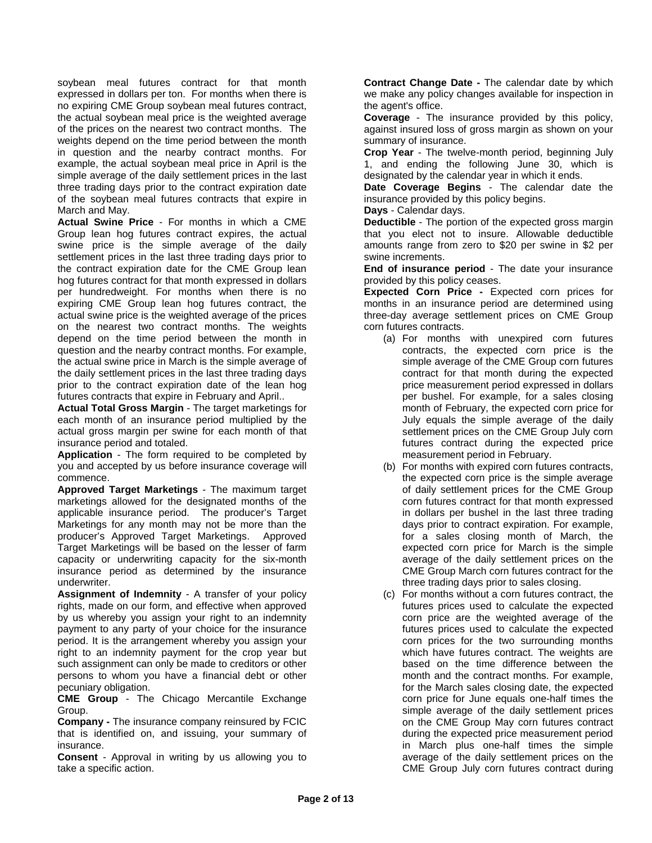soybean meal futures contract for that month expressed in dollars per ton. For months when there is no expiring CME Group soybean meal futures contract, the actual soybean meal price is the weighted average of the prices on the nearest two contract months. The weights depend on the time period between the month in question and the nearby contract months. For example, the actual soybean meal price in April is the simple average of the daily settlement prices in the last three trading days prior to the contract expiration date of the soybean meal futures contracts that expire in March and May.

**Actual Swine Price** - For months in which a CME Group lean hog futures contract expires, the actual swine price is the simple average of the daily settlement prices in the last three trading days prior to the contract expiration date for the CME Group lean hog futures contract for that month expressed in dollars per hundredweight. For months when there is no expiring CME Group lean hog futures contract, the actual swine price is the weighted average of the prices on the nearest two contract months. The weights depend on the time period between the month in question and the nearby contract months. For example, the actual swine price in March is the simple average of the daily settlement prices in the last three trading days prior to the contract expiration date of the lean hog futures contracts that expire in February and April..

**Actual Total Gross Margin** - The target marketings for each month of an insurance period multiplied by the actual gross margin per swine for each month of that insurance period and totaled.

**Application** - The form required to be completed by you and accepted by us before insurance coverage will commence.

**Approved Target Marketings** - The maximum target marketings allowed for the designated months of the applicable insurance period. The producer's Target Marketings for any month may not be more than the producer's Approved Target Marketings. Approved Target Marketings will be based on the lesser of farm capacity or underwriting capacity for the six-month insurance period as determined by the insurance underwriter.

**Assignment of Indemnity** - A transfer of your policy rights, made on our form, and effective when approved by us whereby you assign your right to an indemnity payment to any party of your choice for the insurance period. It is the arrangement whereby you assign your right to an indemnity payment for the crop year but such assignment can only be made to creditors or other persons to whom you have a financial debt or other pecuniary obligation.

**CME Group** - The Chicago Mercantile Exchange Group.

**Company -** The insurance company reinsured by FCIC that is identified on, and issuing, your summary of insurance.

**Consent** - Approval in writing by us allowing you to take a specific action.

**Contract Change Date -** The calendar date by which we make any policy changes available for inspection in the agent's office.

**Coverage** - The insurance provided by this policy, against insured loss of gross margin as shown on your summary of insurance.

**Crop Year** - The twelve-month period, beginning July 1, and ending the following June 30, which is designated by the calendar year in which it ends.

**Date Coverage Begins** - The calendar date the insurance provided by this policy begins.

**Days** - Calendar days.

**Deductible** - The portion of the expected gross margin that you elect not to insure. Allowable deductible amounts range from zero to \$20 per swine in \$2 per swine increments.

**End of insurance period** - The date your insurance provided by this policy ceases.

**Expected Corn Price -** Expected corn prices for months in an insurance period are determined using three-day average settlement prices on CME Group corn futures contracts.

- (a) For months with unexpired corn futures contracts, the expected corn price is the simple average of the CME Group corn futures contract for that month during the expected price measurement period expressed in dollars per bushel. For example, for a sales closing month of February, the expected corn price for July equals the simple average of the daily settlement prices on the CME Group July corn futures contract during the expected price measurement period in February.
- (b) For months with expired corn futures contracts, the expected corn price is the simple average of daily settlement prices for the CME Group corn futures contract for that month expressed in dollars per bushel in the last three trading days prior to contract expiration. For example, for a sales closing month of March, the expected corn price for March is the simple average of the daily settlement prices on the CME Group March corn futures contract for the three trading days prior to sales closing.
- (c) For months without a corn futures contract, the futures prices used to calculate the expected corn price are the weighted average of the futures prices used to calculate the expected corn prices for the two surrounding months which have futures contract. The weights are based on the time difference between the month and the contract months. For example, for the March sales closing date, the expected corn price for June equals one-half times the simple average of the daily settlement prices on the CME Group May corn futures contract during the expected price measurement period in March plus one-half times the simple average of the daily settlement prices on the CME Group July corn futures contract during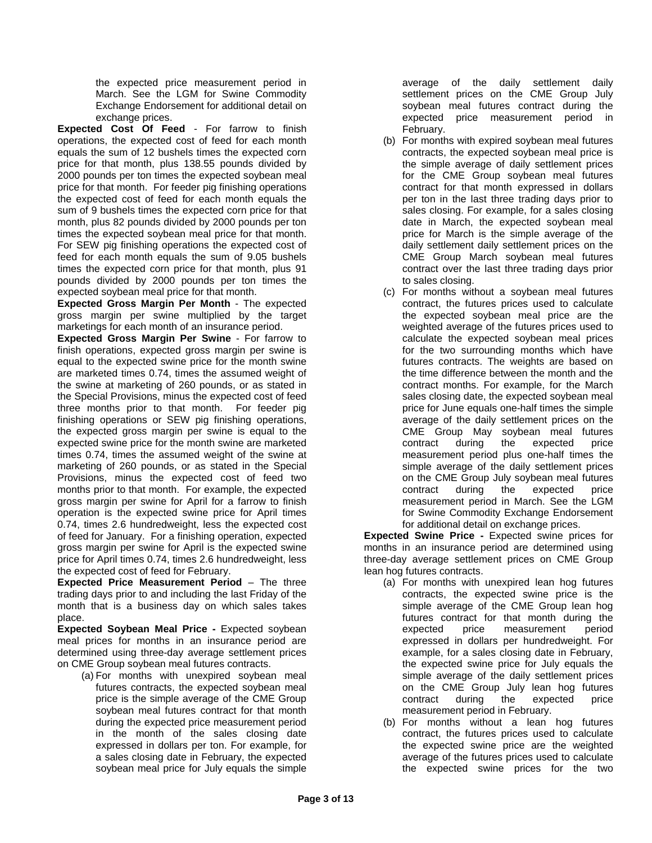the expected price measurement period in March. See the LGM for Swine Commodity Exchange Endorsement for additional detail on exchange prices.

**Expected Cost Of Feed** - For farrow to finish operations, the expected cost of feed for each month equals the sum of 12 bushels times the expected corn price for that month, plus 138.55 pounds divided by 2000 pounds per ton times the expected soybean meal price for that month. For feeder pig finishing operations the expected cost of feed for each month equals the sum of 9 bushels times the expected corn price for that month, plus 82 pounds divided by 2000 pounds per ton times the expected soybean meal price for that month. For SEW pig finishing operations the expected cost of feed for each month equals the sum of 9.05 bushels times the expected corn price for that month, plus 91 pounds divided by 2000 pounds per ton times the expected soybean meal price for that month.

**Expected Gross Margin Per Month** - The expected gross margin per swine multiplied by the target marketings for each month of an insurance period.

**Expected Gross Margin Per Swine** - For farrow to finish operations, expected gross margin per swine is equal to the expected swine price for the month swine are marketed times 0.74, times the assumed weight of the swine at marketing of 260 pounds, or as stated in the Special Provisions, minus the expected cost of feed three months prior to that month. For feeder pig finishing operations or SEW pig finishing operations, the expected gross margin per swine is equal to the expected swine price for the month swine are marketed times 0.74, times the assumed weight of the swine at marketing of 260 pounds, or as stated in the Special Provisions, minus the expected cost of feed two months prior to that month. For example, the expected gross margin per swine for April for a farrow to finish operation is the expected swine price for April times 0.74, times 2.6 hundredweight, less the expected cost of feed for January. For a finishing operation, expected gross margin per swine for April is the expected swine price for April times 0.74, times 2.6 hundredweight, less the expected cost of feed for February.

**Expected Price Measurement Period** – The three trading days prior to and including the last Friday of the month that is a business day on which sales takes place.

**Expected Soybean Meal Price -** Expected soybean meal prices for months in an insurance period are determined using three-day average settlement prices on CME Group soybean meal futures contracts.

(a) For months with unexpired soybean meal futures contracts, the expected soybean meal price is the simple average of the CME Group soybean meal futures contract for that month during the expected price measurement period in the month of the sales closing date expressed in dollars per ton. For example, for a sales closing date in February, the expected soybean meal price for July equals the simple

average of the daily settlement daily settlement prices on the CME Group July soybean meal futures contract during the expected price measurement period in February.

- (b) For months with expired soybean meal futures contracts, the expected soybean meal price is the simple average of daily settlement prices for the CME Group soybean meal futures contract for that month expressed in dollars per ton in the last three trading days prior to sales closing. For example, for a sales closing date in March, the expected soybean meal price for March is the simple average of the daily settlement daily settlement prices on the CME Group March soybean meal futures contract over the last three trading days prior to sales closing.
- (c) For months without a soybean meal futures contract, the futures prices used to calculate the expected soybean meal price are the weighted average of the futures prices used to calculate the expected soybean meal prices for the two surrounding months which have futures contracts. The weights are based on the time difference between the month and the contract months. For example, for the March sales closing date, the expected soybean meal price for June equals one-half times the simple average of the daily settlement prices on the CME Group May soybean meal futures contract during the expected price measurement period plus one-half times the simple average of the daily settlement prices on the CME Group July soybean meal futures contract during the expected price measurement period in March. See the LGM for Swine Commodity Exchange Endorsement for additional detail on exchange prices.

**Expected Swine Price -** Expected swine prices for months in an insurance period are determined using three-day average settlement prices on CME Group lean hog futures contracts.

- (a) For months with unexpired lean hog futures contracts, the expected swine price is the simple average of the CME Group lean hog futures contract for that month during the expected price measurement period expressed in dollars per hundredweight. For example, for a sales closing date in February, the expected swine price for July equals the simple average of the daily settlement prices on the CME Group July lean hog futures contract during the expected price measurement period in February.
- (b) For months without a lean hog futures contract, the futures prices used to calculate the expected swine price are the weighted average of the futures prices used to calculate the expected swine prices for the two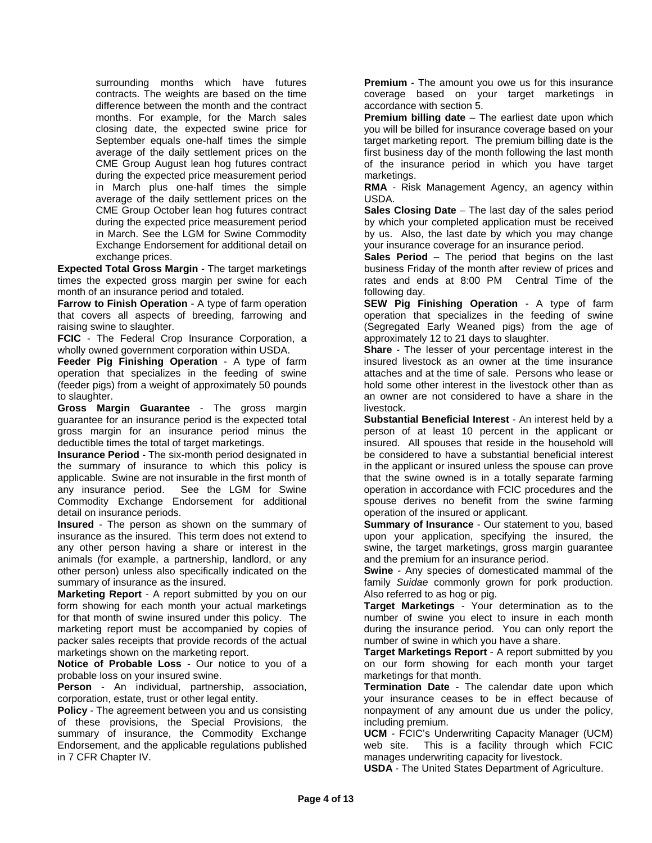surrounding months which have futures contracts. The weights are based on the time difference between the month and the contract months. For example, for the March sales closing date, the expected swine price for September equals one-half times the simple average of the daily settlement prices on the CME Group August lean hog futures contract during the expected price measurement period in March plus one-half times the simple average of the daily settlement prices on the CME Group October lean hog futures contract during the expected price measurement period in March. See the LGM for Swine Commodity Exchange Endorsement for additional detail on exchange prices.

**Expected Total Gross Margin** - The target marketings times the expected gross margin per swine for each month of an insurance period and totaled.

**Farrow to Finish Operation** - A type of farm operation that covers all aspects of breeding, farrowing and raising swine to slaughter.

**FCIC** - The Federal Crop Insurance Corporation, a wholly owned government corporation within USDA.

**Feeder Pig Finishing Operation** - A type of farm operation that specializes in the feeding of swine (feeder pigs) from a weight of approximately 50 pounds to slaughter.

**Gross Margin Guarantee** - The gross margin guarantee for an insurance period is the expected total gross margin for an insurance period minus the deductible times the total of target marketings.

**Insurance Period** - The six-month period designated in the summary of insurance to which this policy is applicable. Swine are not insurable in the first month of any insurance period. See the LGM for Swine Commodity Exchange Endorsement for additional detail on insurance periods.

**Insured** - The person as shown on the summary of insurance as the insured. This term does not extend to any other person having a share or interest in the animals (for example, a partnership, landlord, or any other person) unless also specifically indicated on the summary of insurance as the insured.

**Marketing Report** - A report submitted by you on our form showing for each month your actual marketings for that month of swine insured under this policy. The marketing report must be accompanied by copies of packer sales receipts that provide records of the actual marketings shown on the marketing report.

**Notice of Probable Loss** - Our notice to you of a probable loss on your insured swine.

**Person** - An individual, partnership, association, corporation, estate, trust or other legal entity.

**Policy** - The agreement between you and us consisting of these provisions, the Special Provisions, the summary of insurance, the Commodity Exchange Endorsement, and the applicable regulations published in 7 CFR Chapter IV.

**Premium** - The amount you owe us for this insurance coverage based on your target marketings in accordance with section 5.

**Premium billing date** – The earliest date upon which you will be billed for insurance coverage based on your target marketing report. The premium billing date is the first business day of the month following the last month of the insurance period in which you have target marketings.

**RMA** - Risk Management Agency, an agency within USDA.

**Sales Closing Date** – The last day of the sales period by which your completed application must be received by us. Also, the last date by which you may change your insurance coverage for an insurance period.

**Sales Period** – The period that begins on the last business Friday of the month after review of prices and rates and ends at 8:00 PM Central Time of the following day.

**SEW Pig Finishing Operation** - A type of farm operation that specializes in the feeding of swine (Segregated Early Weaned pigs) from the age of approximately 12 to 21 days to slaughter.

**Share** - The lesser of your percentage interest in the insured livestock as an owner at the time insurance attaches and at the time of sale. Persons who lease or hold some other interest in the livestock other than as an owner are not considered to have a share in the livestock.

**Substantial Beneficial Interest** - An interest held by a person of at least 10 percent in the applicant or insured. All spouses that reside in the household will be considered to have a substantial beneficial interest in the applicant or insured unless the spouse can prove that the swine owned is in a totally separate farming operation in accordance with FCIC procedures and the spouse derives no benefit from the swine farming operation of the insured or applicant.

**Summary of Insurance** - Our statement to you, based upon your application, specifying the insured, the swine, the target marketings, gross margin guarantee and the premium for an insurance period.

**Swine** - Any species of domesticated mammal of the family *Suidae* commonly grown for pork production. Also referred to as hog or pig.

**Target Marketings** - Your determination as to the number of swine you elect to insure in each month during the insurance period. You can only report the number of swine in which you have a share.

**Target Marketings Report** - A report submitted by you on our form showing for each month your target marketings for that month.

**Termination Date** - The calendar date upon which your insurance ceases to be in effect because of nonpayment of any amount due us under the policy, including premium.

**UCM** - FCIC's Underwriting Capacity Manager (UCM) web site. This is a facility through which FCIC manages underwriting capacity for livestock.

**USDA** - The United States Department of Agriculture.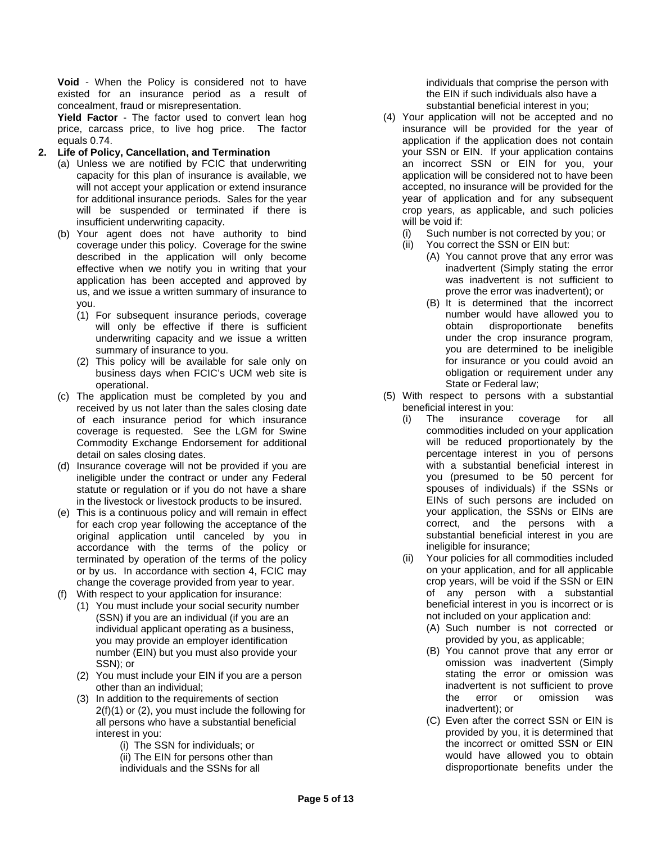**Void** - When the Policy is considered not to have existed for an insurance period as a result of concealment, fraud or misrepresentation.

**Yield Factor** - The factor used to convert lean hog price, carcass price, to live hog price. The factor equals 0.74.

### **2. Life of Policy, Cancellation, and Termination**

- (a) Unless we are notified by FCIC that underwriting capacity for this plan of insurance is available, we will not accept your application or extend insurance for additional insurance periods. Sales for the year will be suspended or terminated if there is insufficient underwriting capacity.
- (b) Your agent does not have authority to bind coverage under this policy. Coverage for the swine described in the application will only become effective when we notify you in writing that your application has been accepted and approved by us, and we issue a written summary of insurance to you.
	- (1) For subsequent insurance periods, coverage will only be effective if there is sufficient underwriting capacity and we issue a written summary of insurance to you.
	- (2) This policy will be available for sale only on business days when FCIC's UCM web site is operational.
- (c) The application must be completed by you and received by us not later than the sales closing date of each insurance period for which insurance coverage is requested. See the LGM for Swine Commodity Exchange Endorsement for additional detail on sales closing dates.
- (d) Insurance coverage will not be provided if you are ineligible under the contract or under any Federal statute or regulation or if you do not have a share in the livestock or livestock products to be insured.
- (e) This is a continuous policy and will remain in effect for each crop year following the acceptance of the original application until canceled by you in accordance with the terms of the policy or terminated by operation of the terms of the policy or by us. In accordance with section 4, FCIC may change the coverage provided from year to year.
- (f) With respect to your application for insurance:
	- (1) You must include your social security number (SSN) if you are an individual (if you are an individual applicant operating as a business, you may provide an employer identification number (EIN) but you must also provide your SSN); or
	- (2) You must include your EIN if you are a person other than an individual;
	- (3) In addition to the requirements of section 2(f)(1) or (2), you must include the following for all persons who have a substantial beneficial interest in you:
		- (i) The SSN for individuals; or (ii) The EIN for persons other than individuals and the SSNs for all

individuals that comprise the person with the EIN if such individuals also have a substantial beneficial interest in you;

- (4) Your application will not be accepted and no insurance will be provided for the year of application if the application does not contain your SSN or EIN. If your application contains an incorrect SSN or EIN for you, your application will be considered not to have been accepted, no insurance will be provided for the year of application and for any subsequent crop years, as applicable, and such policies will be void if:
	- (i) Such number is not corrected by you; or
	- (ii) You correct the SSN or EIN but:
		- (A) You cannot prove that any error was inadvertent (Simply stating the error was inadvertent is not sufficient to prove the error was inadvertent); or
		- (B) It is determined that the incorrect number would have allowed you to obtain disproportionate benefits under the crop insurance program, you are determined to be ineligible for insurance or you could avoid an obligation or requirement under any State or Federal law;
- (5) With respect to persons with a substantial beneficial interest in you:
	- (i) The insurance coverage for all commodities included on your application will be reduced proportionately by the percentage interest in you of persons with a substantial beneficial interest in you (presumed to be 50 percent for spouses of individuals) if the SSNs or EINs of such persons are included on your application, the SSNs or EINs are correct, and the persons with a substantial beneficial interest in you are ineligible for insurance;
	- (ii) Your policies for all commodities included on your application, and for all applicable crop years, will be void if the SSN or EIN of any person with a substantial beneficial interest in you is incorrect or is not included on your application and:
		- (A) Such number is not corrected or provided by you, as applicable;
		- (B) You cannot prove that any error or omission was inadvertent (Simply stating the error or omission was inadvertent is not sufficient to prove the error or omission was inadvertent); or
		- (C) Even after the correct SSN or EIN is provided by you, it is determined that the incorrect or omitted SSN or EIN would have allowed you to obtain disproportionate benefits under the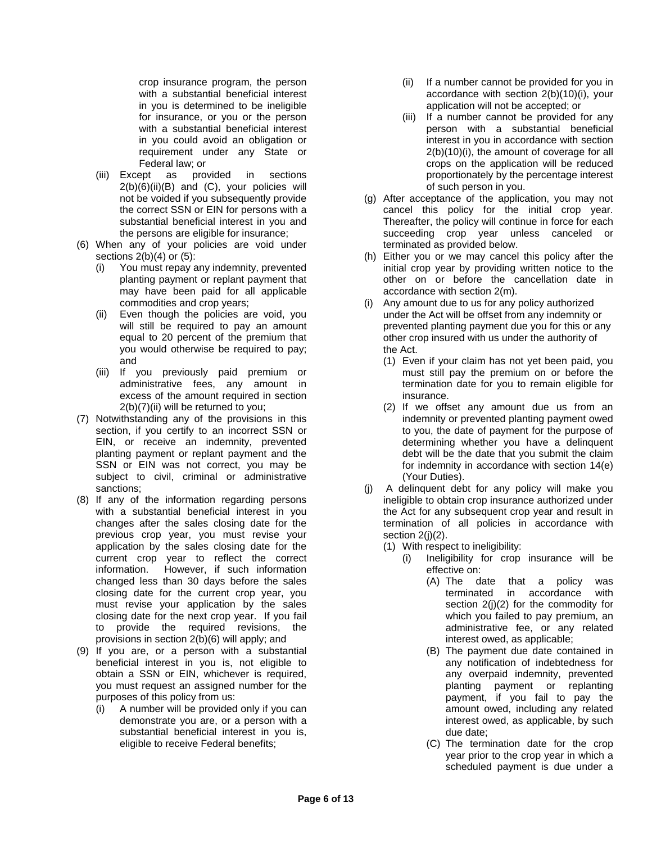crop insurance program, the person with a substantial beneficial interest in you is determined to be ineligible for insurance, or you or the person with a substantial beneficial interest in you could avoid an obligation or requirement under any State or Federal law; or

- (iii) Except as provided in sections 2(b)(6)(ii)(B) and (C), your policies will not be voided if you subsequently provide the correct SSN or EIN for persons with a substantial beneficial interest in you and the persons are eligible for insurance;
- (6) When any of your policies are void under sections  $2(b)(4)$  or  $(5)$ :
	- (i) You must repay any indemnity, prevented planting payment or replant payment that may have been paid for all applicable commodities and crop years;
	- (ii) Even though the policies are void, you will still be required to pay an amount equal to 20 percent of the premium that you would otherwise be required to pay; and
	- (iii) If you previously paid premium or administrative fees, any amount in excess of the amount required in section 2(b)(7)(ii) will be returned to you;
- (7) Notwithstanding any of the provisions in this section, if you certify to an incorrect SSN or EIN, or receive an indemnity, prevented planting payment or replant payment and the SSN or EIN was not correct, you may be subject to civil, criminal or administrative sanctions;
- (8) If any of the information regarding persons with a substantial beneficial interest in you changes after the sales closing date for the previous crop year, you must revise your application by the sales closing date for the current crop year to reflect the correct information. However, if such information changed less than 30 days before the sales closing date for the current crop year, you must revise your application by the sales closing date for the next crop year. If you fail to provide the required revisions, the provisions in section 2(b)(6) will apply; and
- (9) If you are, or a person with a substantial beneficial interest in you is, not eligible to obtain a SSN or EIN, whichever is required, you must request an assigned number for the purposes of this policy from us:
	- (i) A number will be provided only if you can demonstrate you are, or a person with a substantial beneficial interest in you is, eligible to receive Federal benefits;
- (ii) If a number cannot be provided for you in accordance with section 2(b)(10)(i), your application will not be accepted; or
- (iii) If a number cannot be provided for any person with a substantial beneficial interest in you in accordance with section 2(b)(10)(i), the amount of coverage for all crops on the application will be reduced proportionately by the percentage interest of such person in you.
- (g) After acceptance of the application, you may not cancel this policy for the initial crop year. Thereafter, the policy will continue in force for each succeeding crop year unless canceled or terminated as provided below.
- (h) Either you or we may cancel this policy after the initial crop year by providing written notice to the other on or before the cancellation date in accordance with section 2(m).
- (i) Any amount due to us for any policy authorized under the Act will be offset from any indemnity or prevented planting payment due you for this or any other crop insured with us under the authority of the Act.
	- (1) Even if your claim has not yet been paid, you must still pay the premium on or before the termination date for you to remain eligible for insurance.
	- (2) If we offset any amount due us from an indemnity or prevented planting payment owed to you, the date of payment for the purpose of determining whether you have a delinquent debt will be the date that you submit the claim for indemnity in accordance with section 14(e) (Your Duties).
- (j) A delinquent debt for any policy will make you ineligible to obtain crop insurance authorized under the Act for any subsequent crop year and result in termination of all policies in accordance with section 2(j)(2).
	- (1) With respect to ineligibility:
		- (i) Ineligibility for crop insurance will be effective on:
			- (A) The date that a policy was terminated in accordance with section 2(j)(2) for the commodity for which you failed to pay premium, an administrative fee, or any related interest owed, as applicable;
			- (B) The payment due date contained in any notification of indebtedness for any overpaid indemnity, prevented planting payment or replanting payment, if you fail to pay the amount owed, including any related interest owed, as applicable, by such due date;
			- (C) The termination date for the crop year prior to the crop year in which a scheduled payment is due under a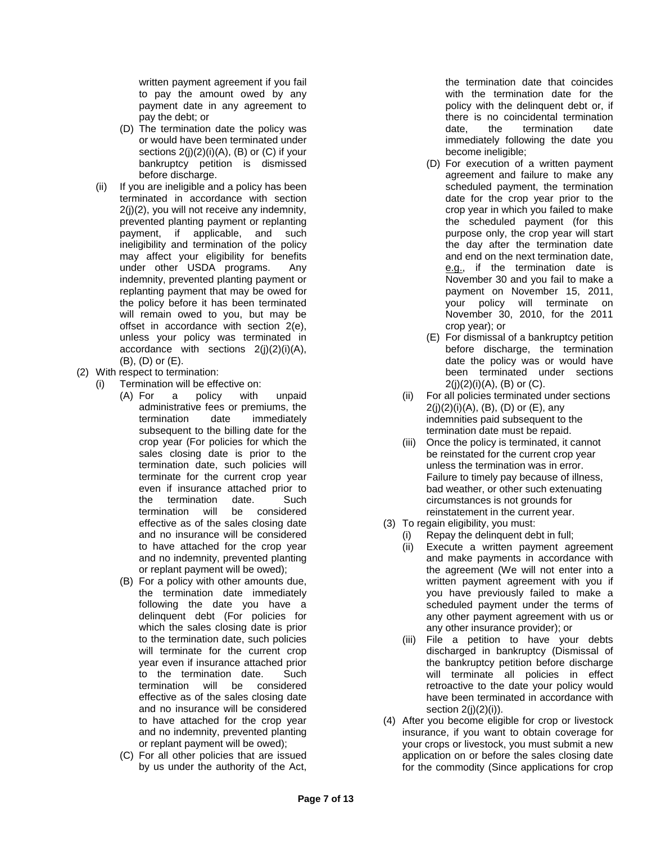written payment agreement if you fail to pay the amount owed by any payment date in any agreement to pay the debt; or

- (D) The termination date the policy was or would have been terminated under sections  $2(j)(2)(i)(A)$ ,  $(B)$  or  $(C)$  if your bankruptcy petition is dismissed before discharge.
- (ii) If you are ineligible and a policy has been terminated in accordance with section 2(j)(2), you will not receive any indemnity, prevented planting payment or replanting payment, if applicable, and such ineligibility and termination of the policy may affect your eligibility for benefits under other USDA programs. Any indemnity, prevented planting payment or replanting payment that may be owed for the policy before it has been terminated will remain owed to you, but may be offset in accordance with section 2(e), unless your policy was terminated in accordance with sections  $2(j)(2)(i)(A)$ , (B), (D) or (E).
- (2) With respect to termination:
	- (i) Termination will be effective on:
		- (A) For a policy with unpaid administrative fees or premiums, the termination date immediately subsequent to the billing date for the crop year (For policies for which the sales closing date is prior to the termination date, such policies will terminate for the current crop year even if insurance attached prior to the termination date. Such termination will be considered effective as of the sales closing date and no insurance will be considered to have attached for the crop year and no indemnity, prevented planting or replant payment will be owed);
		- (B) For a policy with other amounts due, the termination date immediately following the date you have a delinquent debt (For policies for which the sales closing date is prior to the termination date, such policies will terminate for the current crop year even if insurance attached prior to the termination date. Such termination will be considered effective as of the sales closing date and no insurance will be considered to have attached for the crop year and no indemnity, prevented planting or replant payment will be owed);
		- (C) For all other policies that are issued by us under the authority of the Act,

the termination date that coincides with the termination date for the policy with the delinquent debt or, if there is no coincidental termination date, the termination date immediately following the date you become ineligible;

- (D) For execution of a written payment agreement and failure to make any scheduled payment, the termination date for the crop year prior to the crop year in which you failed to make the scheduled payment (for this purpose only, the crop year will start the day after the termination date and end on the next termination date, e.g., if the termination date is November 30 and you fail to make a payment on November 15, 2011, your policy will terminate on November 30, 2010, for the 2011 crop year); or
- (E) For dismissal of a bankruptcy petition before discharge, the termination date the policy was or would have been terminated under sections  $2(j)(2)(i)(A)$ , (B) or (C).
- (ii) For all policies terminated under sections  $2(i)(2)(i)(A)$ , (B), (D) or (E), any indemnities paid subsequent to the termination date must be repaid.
- (iii) Once the policy is terminated, it cannot be reinstated for the current crop year unless the termination was in error. Failure to timely pay because of illness, bad weather, or other such extenuating circumstances is not grounds for reinstatement in the current year.
- (3) To regain eligibility, you must:
	- (i) Repay the delinquent debt in full;
	- (ii) Execute a written payment agreement and make payments in accordance with the agreement (We will not enter into a written payment agreement with you if you have previously failed to make a scheduled payment under the terms of any other payment agreement with us or any other insurance provider); or
	- (iii) File a petition to have your debts discharged in bankruptcy (Dismissal of the bankruptcy petition before discharge will terminate all policies in effect retroactive to the date your policy would have been terminated in accordance with section 2(j)(2)(i)).
- (4) After you become eligible for crop or livestock insurance, if you want to obtain coverage for your crops or livestock, you must submit a new application on or before the sales closing date for the commodity (Since applications for crop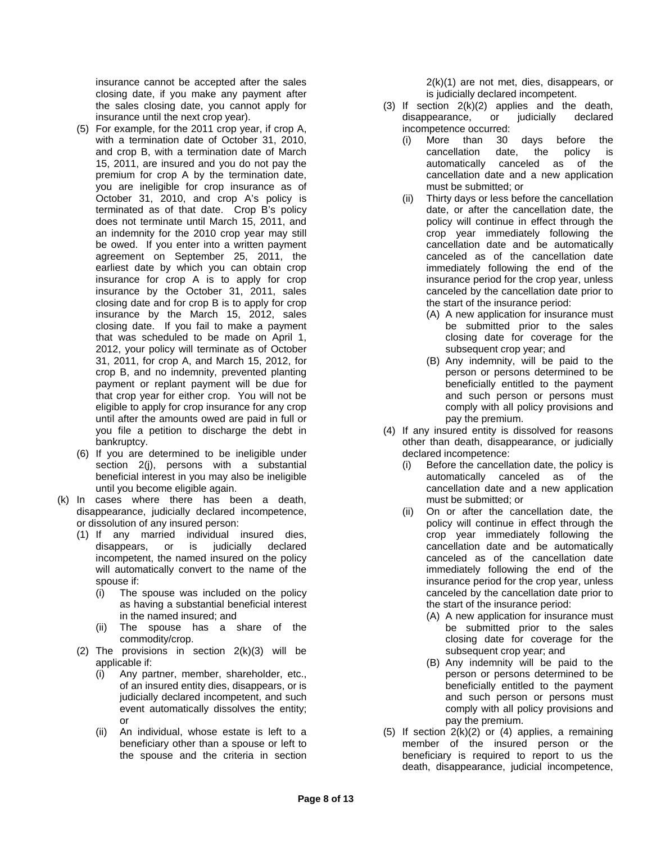insurance cannot be accepted after the sales closing date, if you make any payment after the sales closing date, you cannot apply for insurance until the next crop year).

- (5) For example, for the 2011 crop year, if crop A, with a termination date of October 31, 2010, and crop B, with a termination date of March 15, 2011, are insured and you do not pay the premium for crop A by the termination date, you are ineligible for crop insurance as of October 31, 2010, and crop A's policy is terminated as of that date. Crop B's policy does not terminate until March 15, 2011, and an indemnity for the 2010 crop year may still be owed. If you enter into a written payment agreement on September 25, 2011, the earliest date by which you can obtain crop insurance for crop A is to apply for crop insurance by the October 31, 2011, sales closing date and for crop B is to apply for crop insurance by the March 15, 2012, sales closing date. If you fail to make a payment that was scheduled to be made on April 1, 2012, your policy will terminate as of October 31, 2011, for crop A, and March 15, 2012, for crop B, and no indemnity, prevented planting payment or replant payment will be due for that crop year for either crop. You will not be eligible to apply for crop insurance for any crop until after the amounts owed are paid in full or you file a petition to discharge the debt in bankruptcy.
- (6) If you are determined to be ineligible under section 2(j), persons with a substantial beneficial interest in you may also be ineligible until you become eligible again.
- (k) In cases where there has been a death, disappearance, judicially declared incompetence, or dissolution of any insured person:
	- (1) If any married individual insured dies, disappears, or is judicially declared incompetent, the named insured on the policy will automatically convert to the name of the spouse if:
		- (i) The spouse was included on the policy as having a substantial beneficial interest in the named insured; and
		- (ii) The spouse has a share of the commodity/crop.
	- (2) The provisions in section  $2(k)(3)$  will be applicable if:
		- (i) Any partner, member, shareholder, etc., of an insured entity dies, disappears, or is judicially declared incompetent, and such event automatically dissolves the entity; or
		- (ii) An individual, whose estate is left to a beneficiary other than a spouse or left to the spouse and the criteria in section

2(k)(1) are not met, dies, disappears, or is judicially declared incompetent.

- (3) If section  $2(k)(2)$  applies and the death, disappearance, or judicially declared incompetence occurred:
	- (i) More than 30 days before the cancellation date, the policy is automatically canceled as of the cancellation date and a new application must be submitted; or
	- (ii) Thirty days or less before the cancellation date, or after the cancellation date, the policy will continue in effect through the crop year immediately following the cancellation date and be automatically canceled as of the cancellation date immediately following the end of the insurance period for the crop year, unless canceled by the cancellation date prior to the start of the insurance period:
		- (A) A new application for insurance must be submitted prior to the sales closing date for coverage for the subsequent crop year; and
		- (B) Any indemnity, will be paid to the person or persons determined to be beneficially entitled to the payment and such person or persons must comply with all policy provisions and pay the premium.
- (4) If any insured entity is dissolved for reasons other than death, disappearance, or judicially declared incompetence:
	- (i) Before the cancellation date, the policy is automatically canceled as of the cancellation date and a new application must be submitted; or
	- (ii) On or after the cancellation date, the policy will continue in effect through the crop year immediately following the cancellation date and be automatically canceled as of the cancellation date immediately following the end of the insurance period for the crop year, unless canceled by the cancellation date prior to the start of the insurance period:
		- (A) A new application for insurance must be submitted prior to the sales closing date for coverage for the subsequent crop year; and
		- (B) Any indemnity will be paid to the person or persons determined to be beneficially entitled to the payment and such person or persons must comply with all policy provisions and pay the premium.
- (5) If section  $2(k)(2)$  or (4) applies, a remaining member of the insured person or the beneficiary is required to report to us the death, disappearance, judicial incompetence,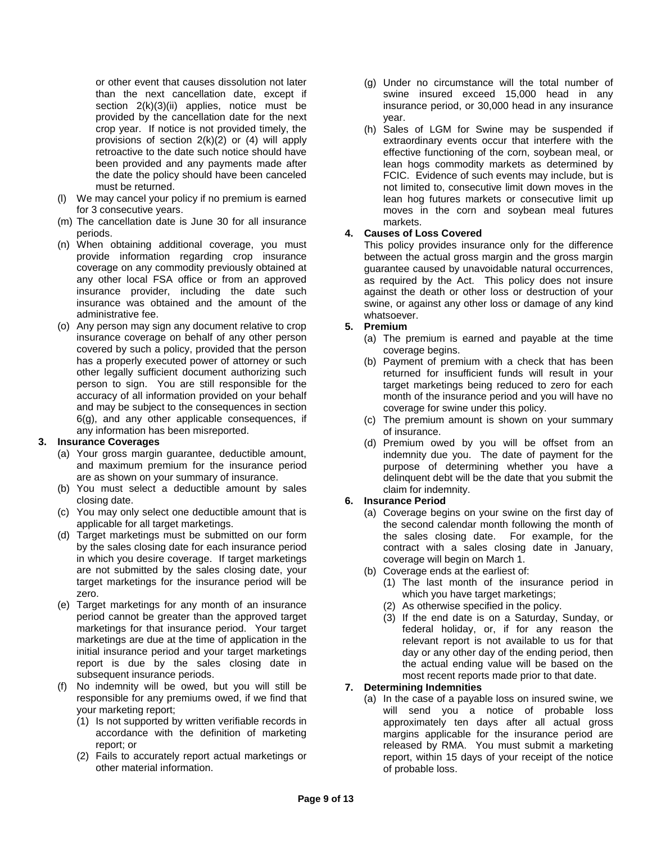or other event that causes dissolution not later than the next cancellation date, except if section 2(k)(3)(ii) applies, notice must be provided by the cancellation date for the next crop year. If notice is not provided timely, the provisions of section 2(k)(2) or (4) will apply retroactive to the date such notice should have been provided and any payments made after the date the policy should have been canceled must be returned.

- (l) We may cancel your policy if no premium is earned for 3 consecutive years.
- (m) The cancellation date is June 30 for all insurance periods.
- (n) When obtaining additional coverage, you must provide information regarding crop insurance coverage on any commodity previously obtained at any other local FSA office or from an approved insurance provider, including the date such insurance was obtained and the amount of the administrative fee.
- (o) Any person may sign any document relative to crop insurance coverage on behalf of any other person covered by such a policy, provided that the person has a properly executed power of attorney or such other legally sufficient document authorizing such person to sign. You are still responsible for the accuracy of all information provided on your behalf and may be subject to the consequences in section 6(g), and any other applicable consequences, if any information has been misreported.

### **3. Insurance Coverages**

- (a) Your gross margin guarantee, deductible amount, and maximum premium for the insurance period are as shown on your summary of insurance.
- (b) You must select a deductible amount by sales closing date.
- (c) You may only select one deductible amount that is applicable for all target marketings.
- (d) Target marketings must be submitted on our form by the sales closing date for each insurance period in which you desire coverage. If target marketings are not submitted by the sales closing date, your target marketings for the insurance period will be zero.
- (e) Target marketings for any month of an insurance period cannot be greater than the approved target marketings for that insurance period. Your target marketings are due at the time of application in the initial insurance period and your target marketings report is due by the sales closing date in subsequent insurance periods.
- (f) No indemnity will be owed, but you will still be responsible for any premiums owed, if we find that your marketing report;
	- (1) Is not supported by written verifiable records in accordance with the definition of marketing report; or
	- (2) Fails to accurately report actual marketings or other material information.
- (g) Under no circumstance will the total number of swine insured exceed 15,000 head in any insurance period, or 30,000 head in any insurance year.
- (h) Sales of LGM for Swine may be suspended if extraordinary events occur that interfere with the effective functioning of the corn, soybean meal, or lean hogs commodity markets as determined by FCIC. Evidence of such events may include, but is not limited to, consecutive limit down moves in the lean hog futures markets or consecutive limit up moves in the corn and soybean meal futures markets.

## **4. Causes of Loss Covered**

This policy provides insurance only for the difference between the actual gross margin and the gross margin guarantee caused by unavoidable natural occurrences, as required by the Act. This policy does not insure against the death or other loss or destruction of your swine, or against any other loss or damage of any kind whatsoever.

## **5. Premium**

- (a) The premium is earned and payable at the time coverage begins.
- (b) Payment of premium with a check that has been returned for insufficient funds will result in your target marketings being reduced to zero for each month of the insurance period and you will have no coverage for swine under this policy.
- (c) The premium amount is shown on your summary of insurance.
- (d) Premium owed by you will be offset from an indemnity due you. The date of payment for the purpose of determining whether you have a delinquent debt will be the date that you submit the claim for indemnity.

# **6. Insurance Period**

- (a) Coverage begins on your swine on the first day of the second calendar month following the month of the sales closing date. For example, for the contract with a sales closing date in January, coverage will begin on March 1.
- (b) Coverage ends at the earliest of:
	- (1) The last month of the insurance period in which you have target marketings;
	- (2) As otherwise specified in the policy.
	- (3) If the end date is on a Saturday, Sunday, or federal holiday, or, if for any reason the relevant report is not available to us for that day or any other day of the ending period, then the actual ending value will be based on the most recent reports made prior to that date.

# **7. Determining Indemnities**

(a) In the case of a payable loss on insured swine, we will send you a notice of probable loss approximately ten days after all actual gross margins applicable for the insurance period are released by RMA. You must submit a marketing report, within 15 days of your receipt of the notice of probable loss.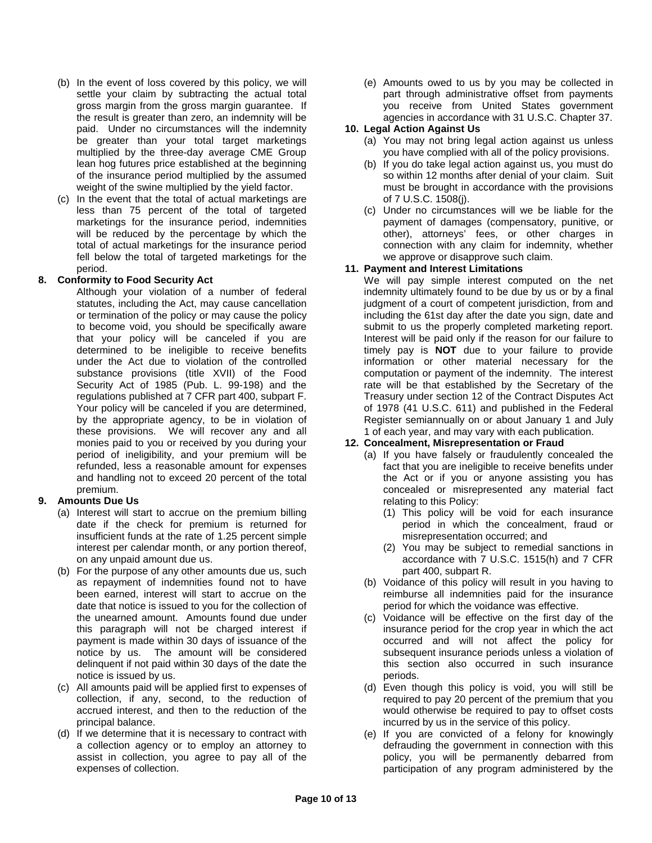- (b) In the event of loss covered by this policy, we will settle your claim by subtracting the actual total gross margin from the gross margin guarantee. If the result is greater than zero, an indemnity will be paid. Under no circumstances will the indemnity be greater than your total target marketings multiplied by the three-day average CME Group lean hog futures price established at the beginning of the insurance period multiplied by the assumed weight of the swine multiplied by the yield factor.
- (c) In the event that the total of actual marketings are less than 75 percent of the total of targeted marketings for the insurance period, indemnities will be reduced by the percentage by which the total of actual marketings for the insurance period fell below the total of targeted marketings for the period.

### **8. Conformity to Food Security Act**

Although your violation of a number of federal statutes, including the Act, may cause cancellation or termination of the policy or may cause the policy to become void, you should be specifically aware that your policy will be canceled if you are determined to be ineligible to receive benefits under the Act due to violation of the controlled substance provisions (title XVII) of the Food Security Act of 1985 (Pub. L. 99-198) and the regulations published at 7 CFR part 400, subpart F. Your policy will be canceled if you are determined, by the appropriate agency, to be in violation of these provisions. We will recover any and all monies paid to you or received by you during your period of ineligibility, and your premium will be refunded, less a reasonable amount for expenses and handling not to exceed 20 percent of the total premium.

# **9. Amounts Due Us**

- (a) Interest will start to accrue on the premium billing date if the check for premium is returned for insufficient funds at the rate of 1.25 percent simple interest per calendar month, or any portion thereof, on any unpaid amount due us.
- (b) For the purpose of any other amounts due us, such as repayment of indemnities found not to have been earned, interest will start to accrue on the date that notice is issued to you for the collection of the unearned amount. Amounts found due under this paragraph will not be charged interest if payment is made within 30 days of issuance of the notice by us. The amount will be considered delinquent if not paid within 30 days of the date the notice is issued by us.
- (c) All amounts paid will be applied first to expenses of collection, if any, second, to the reduction of accrued interest, and then to the reduction of the principal balance.
- (d) If we determine that it is necessary to contract with a collection agency or to employ an attorney to assist in collection, you agree to pay all of the expenses of collection.

(e) Amounts owed to us by you may be collected in part through administrative offset from payments you receive from United States government agencies in accordance with 31 U.S.C. Chapter 37.

### **10. Legal Action Against Us**

- (a) You may not bring legal action against us unless you have complied with all of the policy provisions.
- (b) If you do take legal action against us, you must do so within 12 months after denial of your claim. Suit must be brought in accordance with the provisions of 7 U.S.C. 1508(j).
- (c) Under no circumstances will we be liable for the payment of damages (compensatory, punitive, or other), attorneys' fees, or other charges in connection with any claim for indemnity, whether we approve or disapprove such claim.

## **11. Payment and Interest Limitations**

We will pay simple interest computed on the net indemnity ultimately found to be due by us or by a final judgment of a court of competent jurisdiction, from and including the 61st day after the date you sign, date and submit to us the properly completed marketing report. Interest will be paid only if the reason for our failure to timely pay is **NOT** due to your failure to provide information or other material necessary for the computation or payment of the indemnity. The interest rate will be that established by the Secretary of the Treasury under section 12 of the Contract Disputes Act of 1978 (41 U.S.C. 611) and published in the Federal Register semiannually on or about January 1 and July 1 of each year, and may vary with each publication.

# **12. Concealment, Misrepresentation or Fraud**

- (a) If you have falsely or fraudulently concealed the fact that you are ineligible to receive benefits under the Act or if you or anyone assisting you has concealed or misrepresented any material fact relating to this Policy:
	- (1) This policy will be void for each insurance period in which the concealment, fraud or misrepresentation occurred; and
	- (2) You may be subject to remedial sanctions in accordance with 7 U.S.C. 1515(h) and 7 CFR part 400, subpart R.
- (b) Voidance of this policy will result in you having to reimburse all indemnities paid for the insurance period for which the voidance was effective.
- (c) Voidance will be effective on the first day of the insurance period for the crop year in which the act occurred and will not affect the policy for subsequent insurance periods unless a violation of this section also occurred in such insurance periods.
- (d) Even though this policy is void, you will still be required to pay 20 percent of the premium that you would otherwise be required to pay to offset costs incurred by us in the service of this policy.
- (e) If you are convicted of a felony for knowingly defrauding the government in connection with this policy, you will be permanently debarred from participation of any program administered by the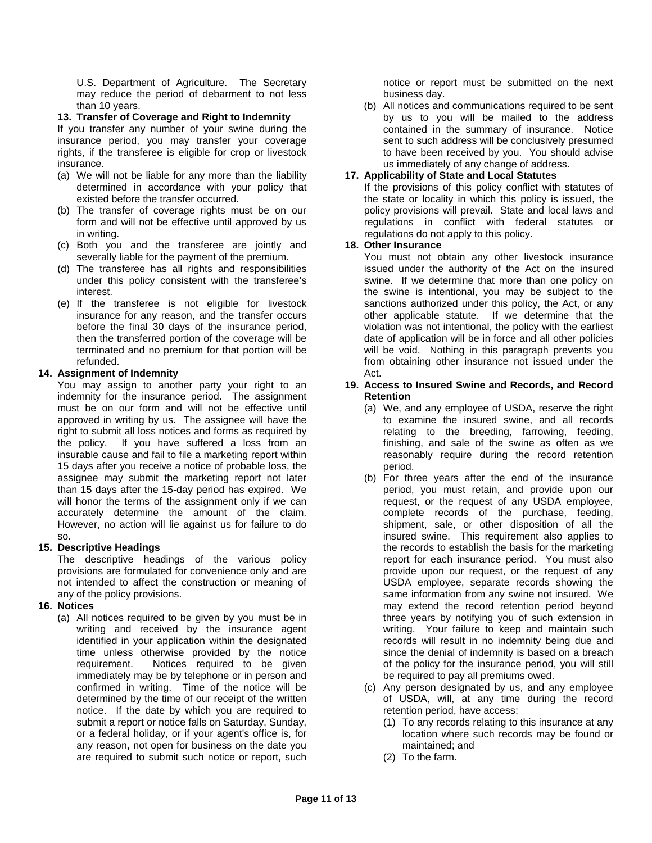U.S. Department of Agriculture. The Secretary may reduce the period of debarment to not less than 10 years.

### **13. Transfer of Coverage and Right to Indemnity**

If you transfer any number of your swine during the insurance period, you may transfer your coverage rights, if the transferee is eligible for crop or livestock insurance.

- (a) We will not be liable for any more than the liability determined in accordance with your policy that existed before the transfer occurred.
- (b) The transfer of coverage rights must be on our form and will not be effective until approved by us in writing.
- (c) Both you and the transferee are jointly and severally liable for the payment of the premium.
- (d) The transferee has all rights and responsibilities under this policy consistent with the transferee's interest.
- (e) If the transferee is not eligible for livestock insurance for any reason, and the transfer occurs before the final 30 days of the insurance period, then the transferred portion of the coverage will be terminated and no premium for that portion will be refunded.

### **14. Assignment of Indemnity**

You may assign to another party your right to an indemnity for the insurance period. The assignment must be on our form and will not be effective until approved in writing by us. The assignee will have the right to submit all loss notices and forms as required by the policy. If you have suffered a loss from an insurable cause and fail to file a marketing report within 15 days after you receive a notice of probable loss, the assignee may submit the marketing report not later than 15 days after the 15-day period has expired. We will honor the terms of the assignment only if we can accurately determine the amount of the claim. However, no action will lie against us for failure to do so.

### **15. Descriptive Headings**

The descriptive headings of the various policy provisions are formulated for convenience only and are not intended to affect the construction or meaning of any of the policy provisions.

### **16. Notices**

(a) All notices required to be given by you must be in writing and received by the insurance agent identified in your application within the designated time unless otherwise provided by the notice requirement. Notices required to be given immediately may be by telephone or in person and confirmed in writing. Time of the notice will be determined by the time of our receipt of the written notice. If the date by which you are required to submit a report or notice falls on Saturday, Sunday, or a federal holiday, or if your agent's office is, for any reason, not open for business on the date you are required to submit such notice or report, such

notice or report must be submitted on the next business day.

(b) All notices and communications required to be sent by us to you will be mailed to the address contained in the summary of insurance. Notice sent to such address will be conclusively presumed to have been received by you. You should advise us immediately of any change of address.

### **17. Applicability of State and Local Statutes**

If the provisions of this policy conflict with statutes of the state or locality in which this policy is issued, the policy provisions will prevail. State and local laws and regulations in conflict with federal statutes or regulations do not apply to this policy.

#### **18. Other Insurance**

You must not obtain any other livestock insurance issued under the authority of the Act on the insured swine. If we determine that more than one policy on the swine is intentional, you may be subject to the sanctions authorized under this policy, the Act, or any other applicable statute. If we determine that the violation was not intentional, the policy with the earliest date of application will be in force and all other policies will be void. Nothing in this paragraph prevents you from obtaining other insurance not issued under the Act.

#### **19. Access to Insured Swine and Records, and Record Retention**

- (a) We, and any employee of USDA, reserve the right to examine the insured swine, and all records relating to the breeding, farrowing, feeding, finishing, and sale of the swine as often as we reasonably require during the record retention period.
- (b) For three years after the end of the insurance period, you must retain, and provide upon our request, or the request of any USDA employee, complete records of the purchase, feeding, shipment, sale, or other disposition of all the insured swine. This requirement also applies to the records to establish the basis for the marketing report for each insurance period. You must also provide upon our request, or the request of any USDA employee, separate records showing the same information from any swine not insured. We may extend the record retention period beyond three years by notifying you of such extension in writing. Your failure to keep and maintain such records will result in no indemnity being due and since the denial of indemnity is based on a breach of the policy for the insurance period, you will still be required to pay all premiums owed.
- (c) Any person designated by us, and any employee of USDA, will, at any time during the record retention period, have access:
	- (1) To any records relating to this insurance at any location where such records may be found or maintained; and
	- (2) To the farm.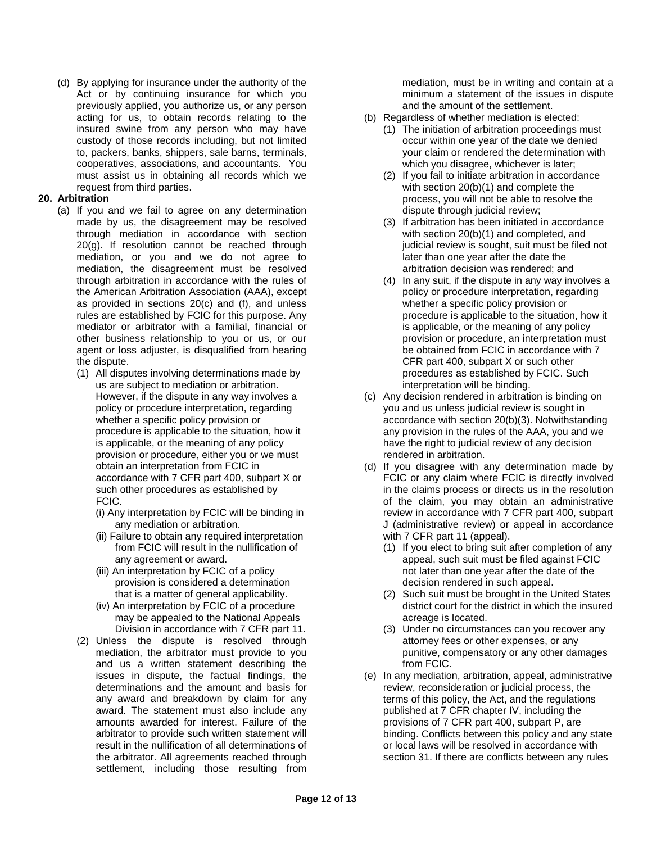(d) By applying for insurance under the authority of the Act or by continuing insurance for which you previously applied, you authorize us, or any person acting for us, to obtain records relating to the insured swine from any person who may have custody of those records including, but not limited to, packers, banks, shippers, sale barns, terminals, cooperatives, associations, and accountants. You must assist us in obtaining all records which we request from third parties.

### **20. Arbitration**

- (a) If you and we fail to agree on any determination made by us, the disagreement may be resolved through mediation in accordance with section 20(g). If resolution cannot be reached through mediation, or you and we do not agree to mediation, the disagreement must be resolved through arbitration in accordance with the rules of the American Arbitration Association (AAA), except as provided in sections 20(c) and (f), and unless rules are established by FCIC for this purpose. Any mediator or arbitrator with a familial, financial or other business relationship to you or us, or our agent or loss adjuster, is disqualified from hearing the dispute.
	- (1) All disputes involving determinations made by us are subject to mediation or arbitration. However, if the dispute in any way involves a policy or procedure interpretation, regarding whether a specific policy provision or procedure is applicable to the situation, how it is applicable, or the meaning of any policy provision or procedure, either you or we must obtain an interpretation from FCIC in accordance with 7 CFR part 400, subpart X or such other procedures as established by FCIC.
		- (i) Any interpretation by FCIC will be binding in any mediation or arbitration.
		- (ii) Failure to obtain any required interpretation from FCIC will result in the nullification of any agreement or award.
		- (iii) An interpretation by FCIC of a policy provision is considered a determination that is a matter of general applicability.
		- (iv) An interpretation by FCIC of a procedure may be appealed to the National Appeals Division in accordance with 7 CFR part 11.
	- (2) Unless the dispute is resolved through mediation, the arbitrator must provide to you and us a written statement describing the issues in dispute, the factual findings, the determinations and the amount and basis for any award and breakdown by claim for any award. The statement must also include any amounts awarded for interest. Failure of the arbitrator to provide such written statement will result in the nullification of all determinations of the arbitrator. All agreements reached through settlement, including those resulting from

mediation, must be in writing and contain at a minimum a statement of the issues in dispute and the amount of the settlement.

- (b) Regardless of whether mediation is elected:
	- (1) The initiation of arbitration proceedings must occur within one year of the date we denied your claim or rendered the determination with which you disagree, whichever is later;
	- (2) If you fail to initiate arbitration in accordance with section 20(b)(1) and complete the process, you will not be able to resolve the dispute through judicial review;
	- (3) If arbitration has been initiated in accordance with section 20(b)(1) and completed, and judicial review is sought, suit must be filed not later than one year after the date the arbitration decision was rendered; and
	- (4) In any suit, if the dispute in any way involves a policy or procedure interpretation, regarding whether a specific policy provision or procedure is applicable to the situation, how it is applicable, or the meaning of any policy provision or procedure, an interpretation must be obtained from FCIC in accordance with 7 CFR part 400, subpart X or such other procedures as established by FCIC. Such interpretation will be binding.
- (c) Any decision rendered in arbitration is binding on you and us unless judicial review is sought in accordance with section 20(b)(3). Notwithstanding any provision in the rules of the AAA, you and we have the right to judicial review of any decision rendered in arbitration.
- (d) If you disagree with any determination made by FCIC or any claim where FCIC is directly involved in the claims process or directs us in the resolution of the claim, you may obtain an administrative review in accordance with 7 CFR part 400, subpart J (administrative review) or appeal in accordance with 7 CFR part 11 (appeal).
	- (1) If you elect to bring suit after completion of any appeal, such suit must be filed against FCIC not later than one year after the date of the decision rendered in such appeal.
	- (2) Such suit must be brought in the United States district court for the district in which the insured acreage is located.
	- (3) Under no circumstances can you recover any attorney fees or other expenses, or any punitive, compensatory or any other damages from FCIC.
- (e) In any mediation, arbitration, appeal, administrative review, reconsideration or judicial process, the terms of this policy, the Act, and the regulations published at 7 CFR chapter IV, including the provisions of 7 CFR part 400, subpart P, are binding. Conflicts between this policy and any state or local laws will be resolved in accordance with section 31. If there are conflicts between any rules